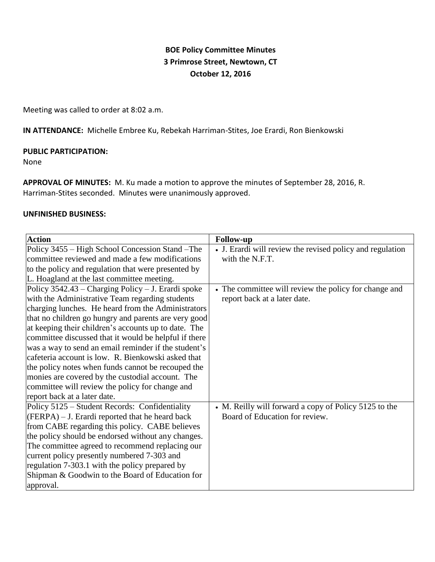# **BOE Policy Committee Minutes 3 Primrose Street, Newtown, CT October 12, 2016**

Meeting was called to order at 8:02 a.m.

**IN ATTENDANCE:** Michelle Embree Ku, Rebekah Harriman-Stites, Joe Erardi, Ron Bienkowski

### **PUBLIC PARTICIPATION:**

None

**APPROVAL OF MINUTES:** M. Ku made a motion to approve the minutes of September 28, 2016, R. Harriman-Stites seconded. Minutes were unanimously approved.

#### **UNFINISHED BUSINESS:**

| <b>Action</b>                                         | <b>Follow-up</b>                                          |
|-------------------------------------------------------|-----------------------------------------------------------|
| Policy 3455 – High School Concession Stand – The      | • J. Erardi will review the revised policy and regulation |
| committee reviewed and made a few modifications       | with the N.F.T.                                           |
| to the policy and regulation that were presented by   |                                                           |
| L. Hoagland at the last committee meeting.            |                                                           |
| Policy $3542.43$ – Charging Policy – J. Erardi spoke  | • The committee will review the policy for change and     |
| with the Administrative Team regarding students       | report back at a later date.                              |
| charging lunches. He heard from the Administrators    |                                                           |
| that no children go hungry and parents are very good  |                                                           |
| at keeping their children's accounts up to date. The  |                                                           |
| committee discussed that it would be helpful if there |                                                           |
| was a way to send an email reminder if the student's  |                                                           |
| cafeteria account is low. R. Bienkowski asked that    |                                                           |
| the policy notes when funds cannot be recouped the    |                                                           |
| monies are covered by the custodial account. The      |                                                           |
| committee will review the policy for change and       |                                                           |
| report back at a later date.                          |                                                           |
| Policy 5125 – Student Records: Confidentiality        | • M. Reilly will forward a copy of Policy 5125 to the     |
| $(FERPA) - J$ . Erardi reported that he heard back    | Board of Education for review.                            |
| from CABE regarding this policy. CABE believes        |                                                           |
| the policy should be endorsed without any changes.    |                                                           |
| The committee agreed to recommend replacing our       |                                                           |
| current policy presently numbered 7-303 and           |                                                           |
| regulation 7-303.1 with the policy prepared by        |                                                           |
| Shipman & Goodwin to the Board of Education for       |                                                           |
| approval.                                             |                                                           |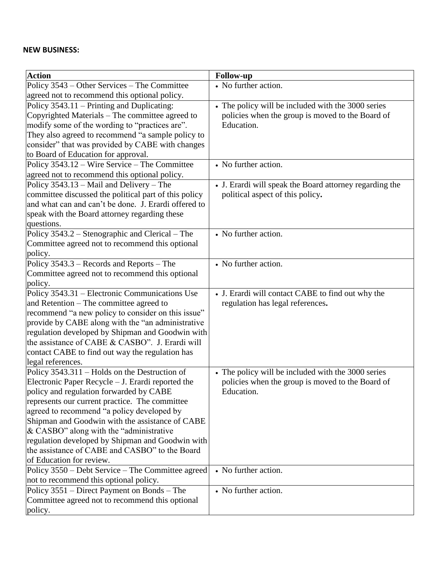## **NEW BUSINESS:**

| <b>Action</b>                                              | <b>Follow-up</b>                                        |
|------------------------------------------------------------|---------------------------------------------------------|
| Policy 3543 – Other Services – The Committee               | • No further action.                                    |
| agreed not to recommend this optional policy.              |                                                         |
| Policy 3543.11 – Printing and Duplicating:                 | • The policy will be included with the 3000 series      |
| Copyrighted Materials - The committee agreed to            | policies when the group is moved to the Board of        |
| modify some of the wording to "practices are".             | Education.                                              |
| They also agreed to recommend "a sample policy to          |                                                         |
| consider" that was provided by CABE with changes           |                                                         |
| to Board of Education for approval.                        |                                                         |
| Policy 3543.12 – Wire Service – The Committee              | • No further action.                                    |
| agreed not to recommend this optional policy.              |                                                         |
| Policy $3543.13$ – Mail and Delivery – The                 | • J. Erardi will speak the Board attorney regarding the |
| committee discussed the political part of this policy      | political aspect of this policy.                        |
| and what can and can't be done. J. Erardi offered to       |                                                         |
| speak with the Board attorney regarding these              |                                                         |
| questions.                                                 |                                                         |
| Policy 3543.2 – Stenographic and Clerical – The            | • No further action.                                    |
| Committee agreed not to recommend this optional            |                                                         |
| policy.                                                    | • No further action.                                    |
| Policy 3543.3 – Records and Reports – The                  |                                                         |
| Committee agreed not to recommend this optional<br>policy. |                                                         |
| Policy 3543.31 – Electronic Communications Use             | • J. Erardi will contact CABE to find out why the       |
| and Retention – The committee agreed to                    | regulation has legal references.                        |
| recommend "a new policy to consider on this issue"         |                                                         |
| provide by CABE along with the "an administrative          |                                                         |
| regulation developed by Shipman and Goodwin with           |                                                         |
| the assistance of CABE & CASBO". J. Erardi will            |                                                         |
| contact CABE to find out way the regulation has            |                                                         |
| legal references.                                          |                                                         |
| Policy 3543.311 – Holds on the Destruction of              | • The policy will be included with the 3000 series      |
| Electronic Paper Recycle – J. Erardi reported the          | policies when the group is moved to the Board of        |
| policy and regulation forwarded by CABE                    | Education.                                              |
| represents our current practice. The committee             |                                                         |
| agreed to recommend "a policy developed by                 |                                                         |
| Shipman and Goodwin with the assistance of CABE            |                                                         |
| & CASBO" along with the "administrative"                   |                                                         |
| regulation developed by Shipman and Goodwin with           |                                                         |
| the assistance of CABE and CASBO" to the Board             |                                                         |
| of Education for review.                                   |                                                         |
| Policy 3550 – Debt Service – The Committee agreed          | • No further action.                                    |
| not to recommend this optional policy.                     |                                                         |
| Policy 3551 – Direct Payment on Bonds – The                | • No further action.                                    |
| Committee agreed not to recommend this optional            |                                                         |
| policy.                                                    |                                                         |